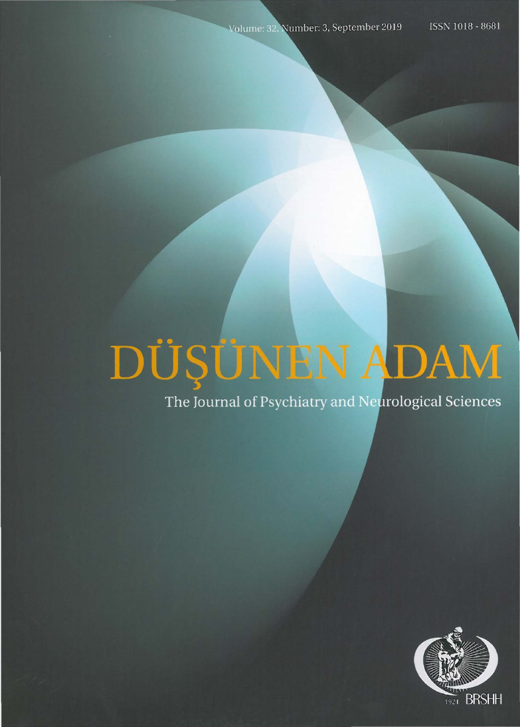# DÜŞÜNEN ADAM

The Journal of Psychiatry and Neurological Sciences

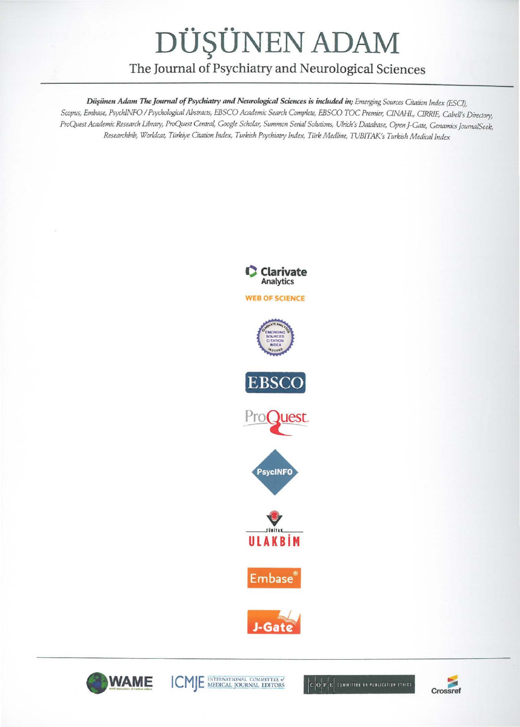# DÜŞÜNEN ADAM

## The Journal of Psychiatry and Neurological Sciences

Düşünen Adam The Journal of Psychiatry and Neurological Sciences is included in; Emerging Sources Citation Index (ESCI). Scopus, Embase, PsychINFO / Psychological Abstracts, EBSCO Academic Search Complete, EBSCO TOC Premier, CINAHL, CIRRIE, Cabell's Directory. ProQuest Academic Research Library, ProQuest Central, Google Scholar, Summon Serial Solutions, Ulrich's Database, Open J-Gate, Genamics JournalSeek, Researchbib, Worldcat, Türkiye Citation Index, Turkish Psychiatry Index, Türk Medline, TUBITAK's Turkish Medical Index





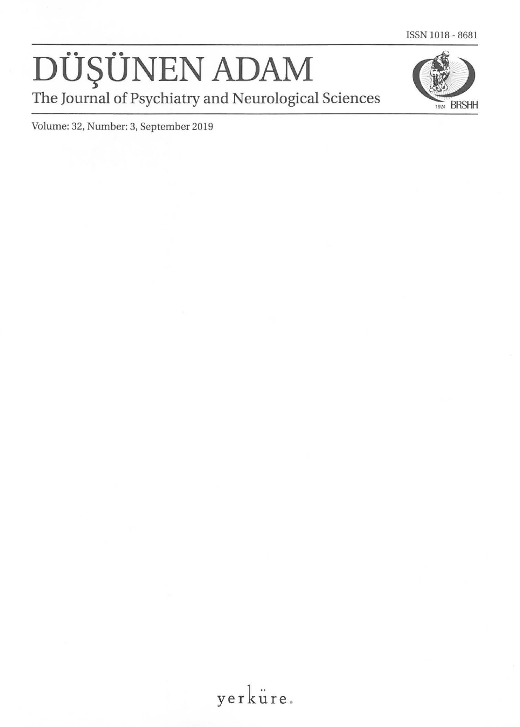ISSN 1018- 8681

# DUŞUNEN ADAM **THE JOURNAL THE JOURNAL THE JOURNAL DESCRIPTION ADAM**<br>The Journal of Psychiatry and Neurological Sciences



Volume: 32, Number: 3, September 2019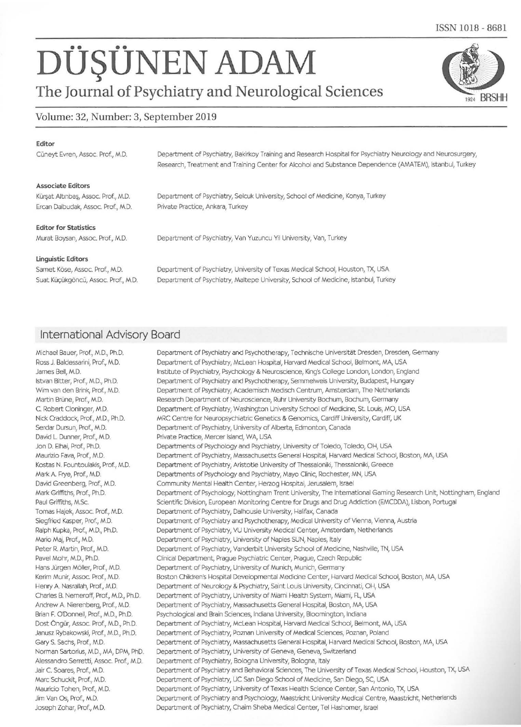# **DUŞÜNEN ADAM**<br>The Journal of Psychiatry and Neurological Sciences

### Volume: 32, Number: 3, September 2019

#### Editor

Cüneyt Evren, Assoc. Prof., M.D.

#### Associate Editors

Kürşat Altınbaş, Assoc. Prof., M.D. Ercan Dalbudak, Assoc. Prof., M.D. Department of Psychiatry, Selcuk University, School of Medicine, Konya, Turkey Private Practice, Ankara, Turkey

Department of Psychiatry, Bakirkoy Training and Research Hospital for Psychiatry Neurology and Neurosurgery, Research, Treatment and Training Center for Alcohol and Substance Dependence (AMATEM), Istanbul, Turkey

#### Editor for Statistics

Murat Boysan, Assoc. Prof., M.D.

Department of Psychiatry, Van Yuzuncu Yil University, Van, Turkey

#### Linguistic Editors

Samet Köse, Assoc. Prof., M.D. Suat Küçükgöncü, Assoc. Prof., M.D.

Department of Psychiatry, University of Texas Medical School, Houston, TX, USA Department of Psychiatry, Maltepe University, School of Medicine, Istanbul, Turkey

### International Advisory Board

Michael Bauer, Prof., M.D., Ph.D. Ross J. Baldessarini, Prof., M.D. James Bell, M.D. Istvan Bitter, Prof., M.D., Ph.D. Wim van den Brink, Prof, M.D. Martin Brüne, Prof., M.D. C. Robert Cloninger, M.D. Nick Craddock, Prof., M.D., Ph.D. Serdar Dursun, Prof., M.D. David L Dunner, Prof., M.D. Jon D. Elhai, Prof., Ph.D. Maurizio Fava, Prof, M.D. Kostas N. Fountoulakis, Prof., M.D. Mark A. Frye, Prof., M.D. David Greenberg, Prof, M.D. Mark Griffiths, Prof., Ph.D. Paul Griffiths, M.Sc. Tomas Hajek, Assoc. Prof., M.D. Siegfried Kasper, Prof., M.D. Ralph Kupka, Prof., M.D., Ph.D. Mario Maj, Prof., M.D. Peter R. Martin, Prof., M.D. Pavel Mohr, M.D., Ph.D. Hans Jürgen Möller, Prof., M.D. Kerim Munir, Assoc. Prof, M.D. Henry A. Nasrallah, Prof., M.D. Charles B. Nemeroff, Prof., M.D., Ph.D. Andrew A Nierenberg, Prof., M.D. Brian E O'Donnell, Prof., M.D., Ph.D. Dost Ongur, Assoc. Prof, M.D., Ph.D. Janusz Rybakowski, Prof., M.D., Ph.D. Gary S. Sachs, Prof, M.D. Norman Sartorius, M.D., MA, DPM, PhD. Alessandro Serretti, Assoc. Prof., M.D. Jair C. Soares, Prof., M.D. Marc Schuckit, Prof., M.D. Mauricio Tohen, Prof., M.D. Jim Van Os, Prof, M.D. Joseph Zohar, Prof., M.D.

Department of Psychiatry and Psychotherapy, Technische Universität Dresden, Dresden, Germany Department of Psychiatry, McLean Hospital, Harvard Medical School, Belmont, MA, USA Institute of Psychiatry, Psychology & Neuroscience, King's College London, London, England Department of Psychiatry and Psychotherapy, Semmelweis University, Budapest, Hungary Department of Psychiatry, Academisch Medisch Centrum, Amsterdam, The Netherlands Research Department of Neuroscience, Ruhr University Bochum, Bochum, Germany Department of Psychiatry, Washington University School of Medicine, St. Louis, MO, USA MRC Centre for Neuropsychiatric Genetics & Genomics, Cardiff University, Cardiff, UK Department of Psychiatry, University of Alberta, Edmonton, Canada Private Practice, Mercer Island, WA, USA Departments of Psychology and Psychiatry, University of Toledo, Toledo, OH, USA Department of Psychiatry, Massachusetts General Hospital, Harvard Medical School, Boston, MA, USA Department of Psychiatry, Aristotle University of Thessaloniki, Thessaloniki, Greece Departments of Psychology and Psychiatry, Mayo Clinic, Rochester, MN, USA Community Mental Health Center, Herzog Hospital, Jerusalem, Israel Department of Psychology, Nottingham Trent University, The International Gaming Research Unit, Nottingham, England Scientific Division, European Monitoring Centre for Drugs and Drug Addiction (EMCDDA), Lisbon, Portugal Department of Psychiatry, Dalhousie University, Halifax, Canada Department of Psychiatry and Psychotherapy, Medical University of Vienna, Vienna, Austria Department of Psychiatry, VU University Medical Center, Amsterdam, Netherlands Department of Psychiatry, University of Naples SUN, Naples, Italy Department of Psychiatry, Vanderbilt University School of Medicine, Nashville, TN, USA Clinical Department, Prague Psychiatric Center, Prague, Czech Republic Department of Psychiatry, University of Munich, Munich, Germany Boston Children's Hospital Developmental Medicine Center, Harvard Medical School, Boston, MA, USA Department of Neurology & Psychiatry, Saint Louis University, Cincinnati, OH, USA Department of Psychiatry, University of Miami Health System, Miami, FL, USA Department of Psychiatry, Massachusetts General Hospital, Boston, MA, USA Psychological and Brain Sciences, Indiana University, Bloomington, Indiana Department of Psychiatry, McLean Hospital, Harvard Medical School, Belmont, MA, USA Department of Psychiatry, Poznan University of Medical Sciences, Poznan, Poland Department of Psychiatry, Massachusetts General Hospital, Harvard Medical School, Boston, MA, USA Department of Psychiatry, University of Geneva, Geneva, Switzerland Department of Psychiatry, Bologna University, Bologna, Italy Department of Psychiatry and Behavioral Sciences, The University of Texas Medical School, Houston, TX, USA Department of Psychiatry, UC San Diego School of Medicine, San Diego, SC, USA Department of Psychiatry, University of Texas Health Science Center, San Antonio, TX, USA Department of Psychiatry and Psychology, Maastricht University Medical Centre, Maastricht, Netherlands Department of Psychiatry, Chaim Sheba Medical Center, Tel Hashomer, Israel

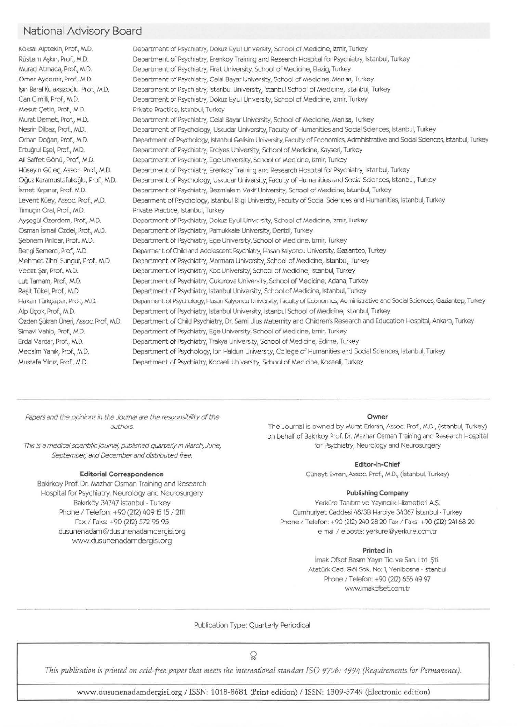## National Advisory Board

K6ksal Alptekin, Prof., M.D. Rüstem Askın, Prof., M.D. Murad Atmaca, Prof., M.D. Orner Aydemir, Prof., M.D. Işın Baral Kulaksızoğlu, Prof., M.D. Can Cimilli, Prof., M.D. Mesut Çetin, Prof., M.D. Murat Demet, Prof., M.D. Nesrin Dilbaz, Prof., M.D. Orhan Dogan, Prof., M.D. Ertuğrul Esel, Prof., M.D. Ali Saffet Gönül, Prof., M.D. Hüseyin Güleç, Assoc. Prof., M.D. Oguz Karamustafahoglu, Prof, M.D. İsmet Kırpınar, Prof. M.D. Levent Küey, Assoc. Prof., M.D. Timuçin Oral, Prof., M.D. Ayşegül Özerdem, Prof., M.D. Osman ismail Ozdel, Prof., M.D. Sebnem Pinldar, Prof., M.D. Bengi Semerci, Prof, M.D. Mehmet Zihni Sungur, Prof., M.D. Vedat Şar, Prof., M.D. Lut Tamam, Prof., M.D. Rașit Tükel, Prof., M.D. Hakan Türkçapar, Prof., M.D. Alp Üçok, Prof., M.D. Özden Şükran Üneri, Assoc. Prof., M.D. Simavi Vahip, Prof., M.D. Erda! Vardar, Prof., M.D. Medaim Yanık, Prof., M.D. Mustafa Yıldız, Prof., M.D. Department of Psychiatry, Dokuz Eyful University, School of Medicine, lzmir, Turkey Department of Psychiatry, Erenkoy Training and Research Hospital for Psychiatry, Istanbul, Turkey Department of Psychiatry, Firat University, School of Medicine, Elazig, Turkey Department of Psychiatry, Celal Bayar University, School of Medicine, Manisa, Turkey Department of Psychiatry, Istanbul University, Istanbul School of Medicine, Istanbul, Turkey Department of Psychiatry, Dokuz Eyful University, School of Medicine, lzmir, Turkey Private Practice, Istanbul, Turkey Department of Psychiatry, Celal Bayar University, School of Medicine, Manisa, Turkey Department of Psychology, Uskudar University, Faculty of Humanities and Social Sciences, Istanbul, Turkey Department of Psychology, Istanbul Gelisim University, Faculty of Economics, Administrative and Social Sciences, Istanbul, Turkey Department of Psychiatry, Erciyes University, School of Medicine, Kayseri, Turkey Department of Psychiatry, Ege University, School of Medicine, lzmir, Turkey Department of Psychiatry, Erenkoy Training and Research Hospital for Psychiatry, Istanbul, Turkey Department of Psychology, Uskudar University, Faculty of Humanities and Social Sciences, Istanbul, Turkey Department of Psychiatry, Bezmialem Vakif University, School of Medicine, Istanbul, Turkey Depamnent of Psychology, Istanbul Bilgi University, Faculty of Social Sciences and Humanities, Istanbul, Turkey Private Practice, Istanbul, Turkey Department of Psychiatry, Dokuz Eyful University, School of Medicine, lzmir, Turkey Department of Psychiatry, Pamukkale University, Denizli, Turkey Department of Psychiatry, Ege University, School of Medicine, lzmir, Turkey Deparment of Child and Adolescent Psychiatry, Hasan Kalyoncu University, Gaziantep, Turkey Department of Psychiatry, Marmara University, School of Medicine, Istanbul, Turkey Department of Psychiatry, Koc University, School of Medicine, Istanbul, Turkey Department of Psychiatry, Cukurova University, School of Medicine, Adana, Turkey Department of Psychiatry, Istanbul University, School of Medicine, Istanbul, Turkey Deparment of Psychology, Hasan Kalyoncu University, FaaJty of Economics, Administrative and Social Sciences, Gaziantep, Turkey Department of Psychiatry, Istanbul University, Istanbul School of Medicine, Istanbul, Turkey Department of Child Psychiatry, Dr. Sami Ulus Maternity and Children's Research and Education Hospital, Ankara, Turkey Department of Psychiatry, Ege University, School of Medicine, lzmir, Turkey Department of Psychiatry, Trakya University, School of Medicine, Edirne, Turkey Department of Psychology, Ibn Haldun University, College of Humanities and Social Sciences, Istanbul, Turkey Department of Psychiatry, Kocaeli University, School of Medicine, Kocaeli, Turkey

Papers and the opinions in the Journal are the responsibility of the authors.

This is a medical scientific journal, published quarterly in March, June, This is extended to Psychiatry, Neurology and Neurosurgery September, and December and distributed free.

#### Editorial Correspondence

Bakirkoy Prof. Dr. Mazhar Osman Training and Research Hospital for Psychiatry, Neurology and Neurosurgery Bakırköy 34747 İstanbul - Turkey Phone / Telefon: +90 (212) 409 15 15 / 2111 Fax / Faks: +90 (212) 572 95 95 dusunenadam@ dusunenadamdergisi.org www.dusunenadamdergisi.org

Owner

The Journal is owned by Murat Erkıran, Assoc. Prof., M.D., (istanbul, Turkey) on behalf of Bakirkoy Prof. Dr. Mazhar Osman Training and Research Hospital

#### Editor-in-Chief

Cüneyt Evren, Assoc. Prof., M.D., (İstanbul, Turkey)

#### Publishing Company

Yerküre Tanıtım ve Yayıncılık Hizmetleri A.Ş. Cumhuriyet Caddesi 48138 Harbiye 34367 istanbul- Turkey Phone / Telefon: +90 (212) 240 28 20 Fax / Faks: +90 (212) 241 68 20 e-mail / e-posta: yerkure@yerkure.com.tr

#### Printed in

imak Ofset Basım Yayın Tic. ve San. Ltd. \$ti. Atatürk Cad. Göl Sok. No: 1, Yenibosna - İstanbul Phone / Telefon: +90 (212) 656 49 97 www.imakofsetcom.tr

Publication Type: Quarterly Periodical

 $\Omega$ 

*This publication is printed on acid-free paper that meets the internationalstandart ISO 9706: 1994 (Requirements for Permanence).* 

www.dusunenadamdergisi.org I ISSN: 1018-8681 (Print edition) I ISSN: 1309-5749 (Electronic edition)